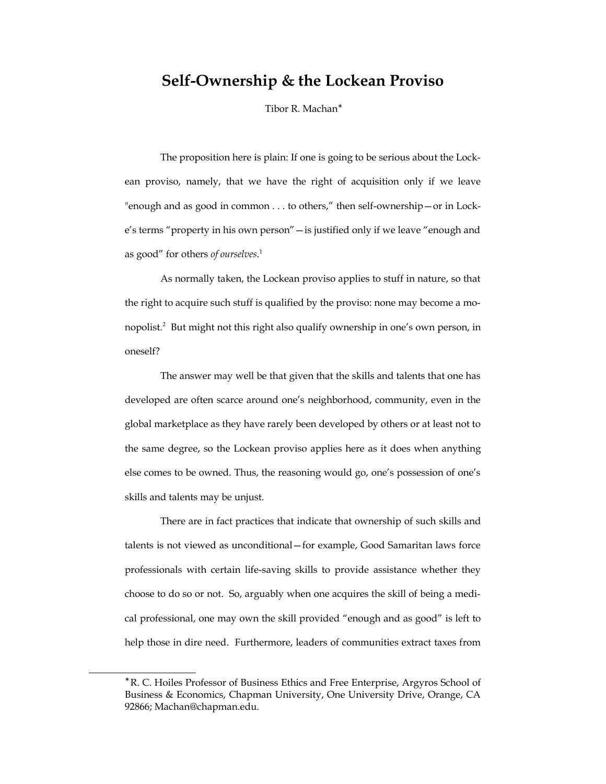## **Self-Ownership & the Lockean Proviso**

Tibor R. Machan<sup>®</sup>

The proposition here is plain: If one is going to be serious about the Lockean proviso, namely, that we have the right of acquisition only if we leave "enough and as good in common . . . to others," then self-ownership—or in Locke's terms "property in his own person"—is justified only if we leave "enough and as good" for others *of ourselves*. 1

As normally taken, the Lockean proviso applies to stuff in nature, so that the right to acquire such stuff is qualified by the proviso: none may become a monopolist. <sup>2</sup> But might not this right also qualify ownership in one's own person, in oneself?

The answer may well be that given that the skills and talents that one has developed are often scarce around one's neighborhood, community, even in the global marketplace as they have rarely been developed by others or at least not to the same degree, so the Lockean proviso applies here as it does when anything else comes to be owned. Thus, the reasoning would go, one's possession of one's skills and talents may be unjust.

There are in fact practices that indicate that ownership of such skills and talents is not viewed as unconditional—for example, Good Samaritan laws force professionals with certain life-saving skills to provide assistance whether they choose to do so or not. So, arguably when one acquires the skill of being a medical professional, one may own the skill provided "enough and as good" is left to help those in dire need. Furthermore, leaders of communities extract taxes from

<sup>∗</sup> R. C. Hoiles Professor of Business Ethics and Free Enterprise, Argyros School of Business & Economics, Chapman University, One University Drive, Orange, CA 92866; Machan@chapman.edu.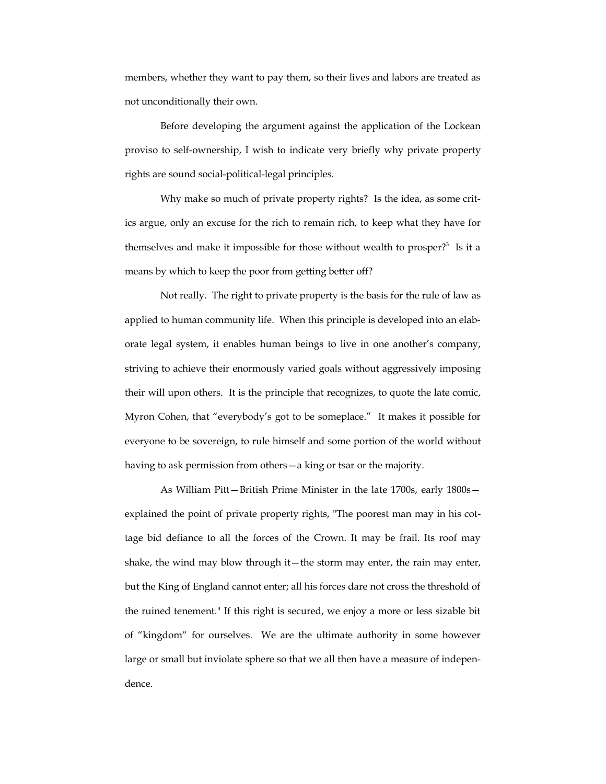members, whether they want to pay them, so their lives and labors are treated as not unconditionally their own.

Before developing the argument against the application of the Lockean proviso to self-ownership, I wish to indicate very briefly why private property rights are sound social-political-legal principles.

Why make so much of private property rights? Is the idea, as some critics argue, only an excuse for the rich to remain rich, to keep what they have for themselves and make it impossible for those without wealth to prosper?<sup>3</sup> Is it a means by which to keep the poor from getting better off?

Not really. The right to private property is the basis for the rule of law as applied to human community life. When this principle is developed into an elaborate legal system, it enables human beings to live in one another's company, striving to achieve their enormously varied goals without aggressively imposing their will upon others. It is the principle that recognizes, to quote the late comic, Myron Cohen, that "everybody's got to be someplace." It makes it possible for everyone to be sovereign, to rule himself and some portion of the world without having to ask permission from others—a king or tsar or the majority.

As William Pitt—British Prime Minister in the late 1700s, early 1800s explained the point of private property rights, "The poorest man may in his cottage bid defiance to all the forces of the Crown. It may be frail. Its roof may shake, the wind may blow through it—the storm may enter, the rain may enter, but the King of England cannot enter; all his forces dare not cross the threshold of the ruined tenement." If this right is secured, we enjoy a more or less sizable bit of "kingdom" for ourselves. We are the ultimate authority in some however large or small but inviolate sphere so that we all then have a measure of independence.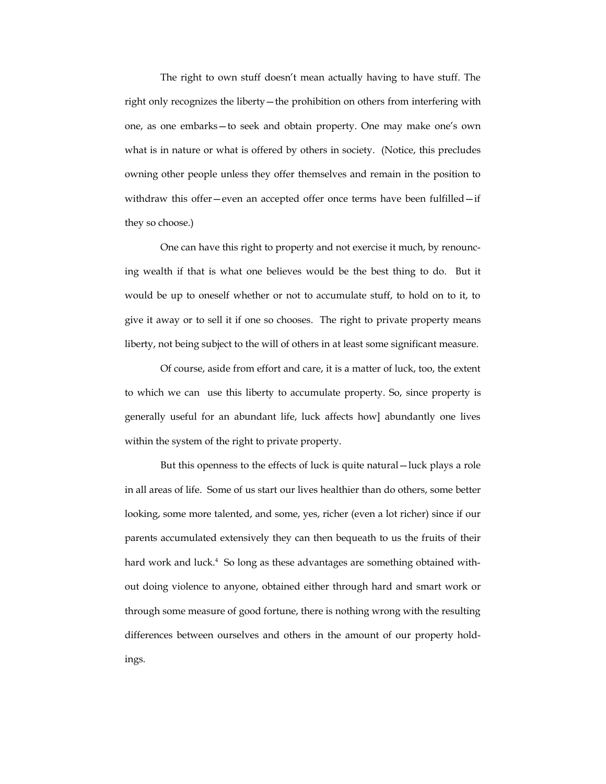The right to own stuff doesn't mean actually having to have stuff. The right only recognizes the liberty—the prohibition on others from interfering with one, as one embarks—to seek and obtain property. One may make one's own what is in nature or what is offered by others in society. (Notice, this precludes owning other people unless they offer themselves and remain in the position to withdraw this offer-even an accepted offer once terms have been fulfilled-if they so choose.)

One can have this right to property and not exercise it much, by renouncing wealth if that is what one believes would be the best thing to do. But it would be up to oneself whether or not to accumulate stuff, to hold on to it, to give it away or to sell it if one so chooses. The right to private property means liberty, not being subject to the will of others in at least some significant measure.

Of course, aside from effort and care, it is a matter of luck, too, the extent to which we can use this liberty to accumulate property. So, since property is generally useful for an abundant life, luck affects how] abundantly one lives within the system of the right to private property.

But this openness to the effects of luck is quite natural—luck plays a role in all areas of life. Some of us start our lives healthier than do others, some better looking, some more talented, and some, yes, richer (even a lot richer) since if our parents accumulated extensively they can then bequeath to us the fruits of their hard work and luck.<sup>4</sup> So long as these advantages are something obtained without doing violence to anyone, obtained either through hard and smart work or through some measure of good fortune, there is nothing wrong with the resulting differences between ourselves and others in the amount of our property holdings.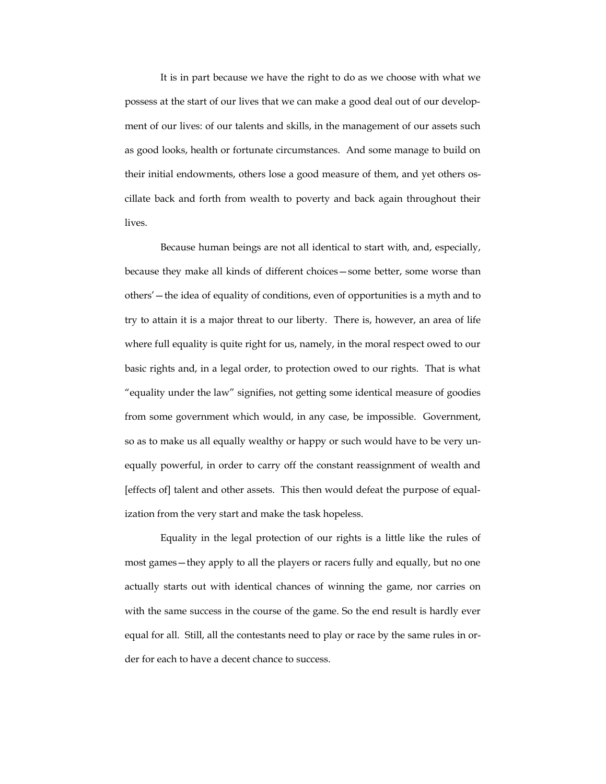It is in part because we have the right to do as we choose with what we possess at the start of our lives that we can make a good deal out of our development of our lives: of our talents and skills, in the management of our assets such as good looks, health or fortunate circumstances. And some manage to build on their initial endowments, others lose a good measure of them, and yet others oscillate back and forth from wealth to poverty and back again throughout their lives.

Because human beings are not all identical to start with, and, especially, because they make all kinds of different choices—some better, some worse than others'—the idea of equality of conditions, even of opportunities is a myth and to try to attain it is a major threat to our liberty. There is, however, an area of life where full equality is quite right for us, namely, in the moral respect owed to our basic rights and, in a legal order, to protection owed to our rights. That is what "equality under the law" signifies, not getting some identical measure of goodies from some government which would, in any case, be impossible. Government, so as to make us all equally wealthy or happy or such would have to be very unequally powerful, in order to carry off the constant reassignment of wealth and [effects of] talent and other assets. This then would defeat the purpose of equalization from the very start and make the task hopeless.

Equality in the legal protection of our rights is a little like the rules of most games—they apply to all the players or racers fully and equally, but no one actually starts out with identical chances of winning the game, nor carries on with the same success in the course of the game. So the end result is hardly ever equal for all. Still, all the contestants need to play or race by the same rules in order for each to have a decent chance to success.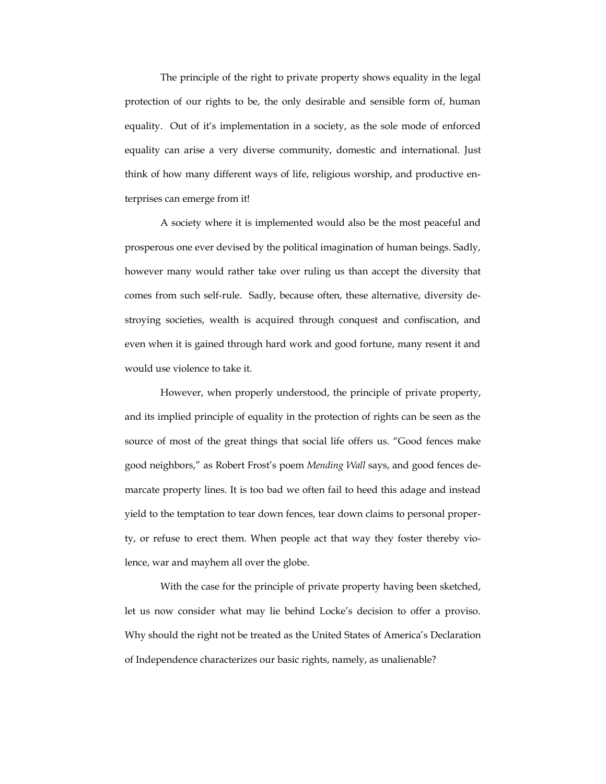The principle of the right to private property shows equality in the legal protection of our rights to be, the only desirable and sensible form of, human equality. Out of it's implementation in a society, as the sole mode of enforced equality can arise a very diverse community, domestic and international. Just think of how many different ways of life, religious worship, and productive enterprises can emerge from it!

A society where it is implemented would also be the most peaceful and prosperous one ever devised by the political imagination of human beings. Sadly, however many would rather take over ruling us than accept the diversity that comes from such self-rule. Sadly, because often, these alternative, diversity destroying societies, wealth is acquired through conquest and confiscation, and even when it is gained through hard work and good fortune, many resent it and would use violence to take it.

However, when properly understood, the principle of private property, and its implied principle of equality in the protection of rights can be seen as the source of most of the great things that social life offers us. "Good fences make good neighbors," as Robert Frost's poem *Mending Wall* says, and good fences demarcate property lines. It is too bad we often fail to heed this adage and instead yield to the temptation to tear down fences, tear down claims to personal property, or refuse to erect them. When people act that way they foster thereby violence, war and mayhem all over the globe.

With the case for the principle of private property having been sketched, let us now consider what may lie behind Locke's decision to offer a proviso. Why should the right not be treated as the United States of America's Declaration of Independence characterizes our basic rights, namely, as unalienable?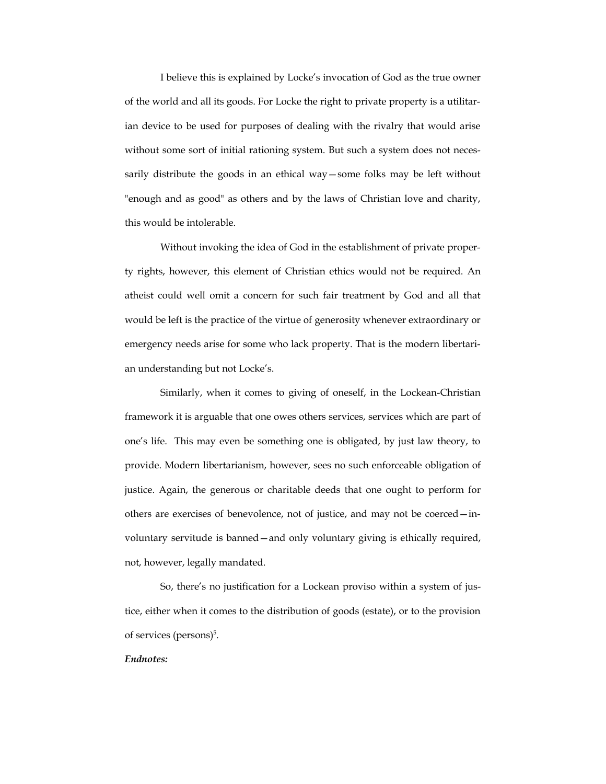I believe this is explained by Locke's invocation of God as the true owner of the world and all its goods. For Locke the right to private property is a utilitarian device to be used for purposes of dealing with the rivalry that would arise without some sort of initial rationing system. But such a system does not necessarily distribute the goods in an ethical way—some folks may be left without "enough and as good" as others and by the laws of Christian love and charity, this would be intolerable.

Without invoking the idea of God in the establishment of private property rights, however, this element of Christian ethics would not be required. An atheist could well omit a concern for such fair treatment by God and all that would be left is the practice of the virtue of generosity whenever extraordinary or emergency needs arise for some who lack property. That is the modern libertarian understanding but not Locke's.

Similarly, when it comes to giving of oneself, in the Lockean-Christian framework it is arguable that one owes others services, services which are part of one's life. This may even be something one is obligated, by just law theory, to provide. Modern libertarianism, however, sees no such enforceable obligation of justice. Again, the generous or charitable deeds that one ought to perform for others are exercises of benevolence, not of justice, and may not be coerced—involuntary servitude is banned—and only voluntary giving is ethically required, not, however, legally mandated.

So, there's no justification for a Lockean proviso within a system of justice, either when it comes to the distribution of goods (estate), or to the provision of services (persons)<sup>5</sup>.

## *Endnotes:*